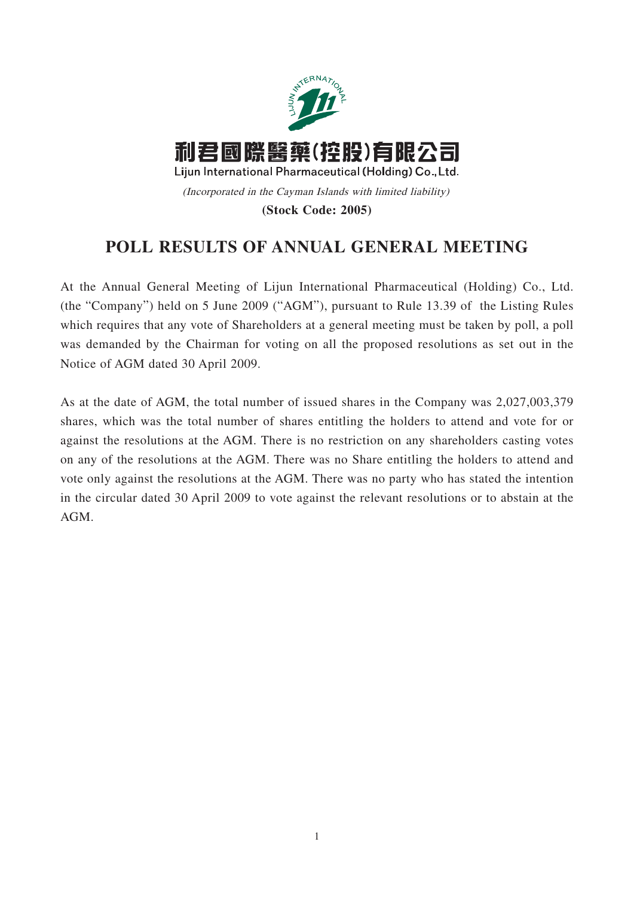

## **POLL RESULTS OF ANNUAL GENERAL MEETING**

At the Annual General Meeting of Lijun International Pharmaceutical (Holding) Co., Ltd. (the "Company") held on 5 June 2009 ("AGM"), pursuant to Rule 13.39 of the Listing Rules which requires that any vote of Shareholders at a general meeting must be taken by poll, a poll was demanded by the Chairman for voting on all the proposed resolutions as set out in the Notice of AGM dated 30 April 2009.

As at the date of AGM, the total number of issued shares in the Company was 2,027,003,379 shares, which was the total number of shares entitling the holders to attend and vote for or against the resolutions at the AGM. There is no restriction on any shareholders casting votes on any of the resolutions at the AGM. There was no Share entitling the holders to attend and vote only against the resolutions at the AGM. There was no party who has stated the intention in the circular dated 30 April 2009 to vote against the relevant resolutions or to abstain at the AGM.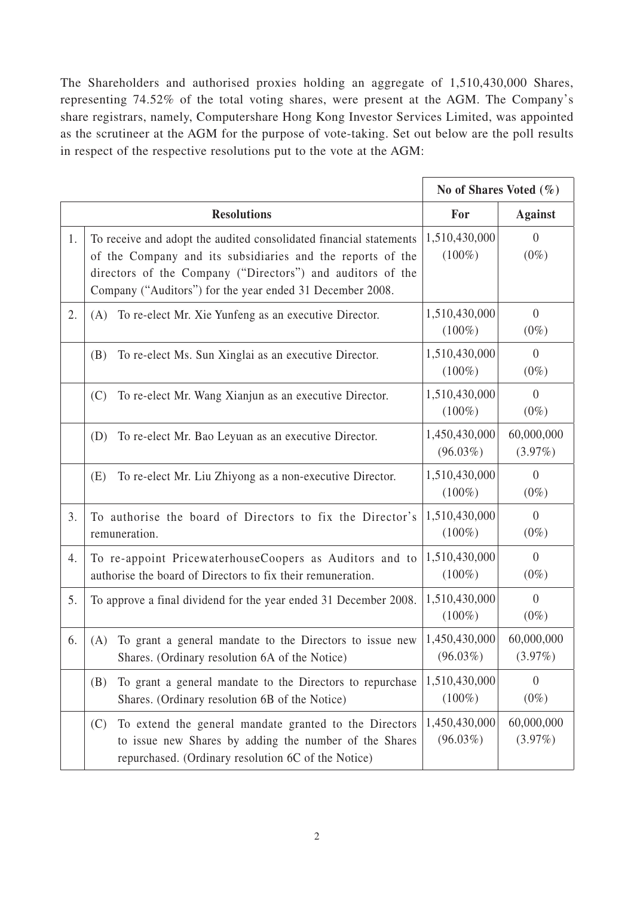The Shareholders and authorised proxies holding an aggregate of 1,510,430,000 Shares, representing 74.52% of the total voting shares, were present at the AGM. The Company's share registrars, namely, Computershare Hong Kong Investor Services Limited, was appointed as the scrutineer at the AGM for the purpose of vote-taking. Set out below are the poll results in respect of the respective resolutions put to the vote at the AGM:

|    |                                                                                                                                                                                                                                                             | No of Shares Voted $(\% )$   |                           |
|----|-------------------------------------------------------------------------------------------------------------------------------------------------------------------------------------------------------------------------------------------------------------|------------------------------|---------------------------|
|    | <b>Resolutions</b>                                                                                                                                                                                                                                          | For                          | <b>Against</b>            |
| 1. | To receive and adopt the audited consolidated financial statements<br>of the Company and its subsidiaries and the reports of the<br>directors of the Company ("Directors") and auditors of the<br>Company ("Auditors") for the year ended 31 December 2008. | 1,510,430,000<br>$(100\%)$   | $\overline{0}$<br>$(0\%)$ |
| 2. | To re-elect Mr. Xie Yunfeng as an executive Director.                                                                                                                                                                                                       | 1,510,430,000                | $\boldsymbol{0}$          |
|    | (A)                                                                                                                                                                                                                                                         | $(100\%)$                    | $(0\%)$                   |
|    | To re-elect Ms. Sun Xinglai as an executive Director.                                                                                                                                                                                                       | 1,510,430,000                | $\overline{0}$            |
|    | (B)                                                                                                                                                                                                                                                         | $(100\%)$                    | $(0\%)$                   |
|    | (C)                                                                                                                                                                                                                                                         | 1,510,430,000                | $\overline{0}$            |
|    | To re-elect Mr. Wang Xianjun as an executive Director.                                                                                                                                                                                                      | $(100\%)$                    | $(0\%)$                   |
|    | To re-elect Mr. Bao Leyuan as an executive Director.                                                                                                                                                                                                        | 1,450,430,000                | 60,000,000                |
|    | (D)                                                                                                                                                                                                                                                         | $(96.03\%)$                  | $(3.97\%)$                |
|    | (E)                                                                                                                                                                                                                                                         | 1,510,430,000                | $\boldsymbol{0}$          |
|    | To re-elect Mr. Liu Zhiyong as a non-executive Director.                                                                                                                                                                                                    | $(100\%)$                    | $(0\%)$                   |
| 3. | To authorise the board of Directors to fix the Director's                                                                                                                                                                                                   | 1,510,430,000                | $\theta$                  |
|    | remuneration.                                                                                                                                                                                                                                               | $(100\%)$                    | $(0\%)$                   |
| 4. | To re-appoint PricewaterhouseCoopers as Auditors and to                                                                                                                                                                                                     | 1,510,430,000                | $\overline{0}$            |
|    | authorise the board of Directors to fix their remuneration.                                                                                                                                                                                                 | $(100\%)$                    | $(0\%)$                   |
| 5. | To approve a final dividend for the year ended 31 December 2008.                                                                                                                                                                                            | 1,510,430,000<br>$(100\%)$   | $\overline{0}$<br>$(0\%)$ |
| 6. | To grant a general mandate to the Directors to issue new<br>(A)<br>Shares. (Ordinary resolution 6A of the Notice)                                                                                                                                           | 1,450,430,000<br>$(96.03\%)$ | 60,000,000<br>$(3.97\%)$  |
|    | To grant a general mandate to the Directors to repurchase<br>(B)<br>Shares. (Ordinary resolution 6B of the Notice)                                                                                                                                          | 1,510,430,000<br>$(100\%)$   | $\theta$<br>$(0\%)$       |
|    | To extend the general mandate granted to the Directors<br>(C)<br>to issue new Shares by adding the number of the Shares<br>repurchased. (Ordinary resolution 6C of the Notice)                                                                              | 1,450,430,000<br>$(96.03\%)$ | 60,000,000<br>$(3.97\%)$  |